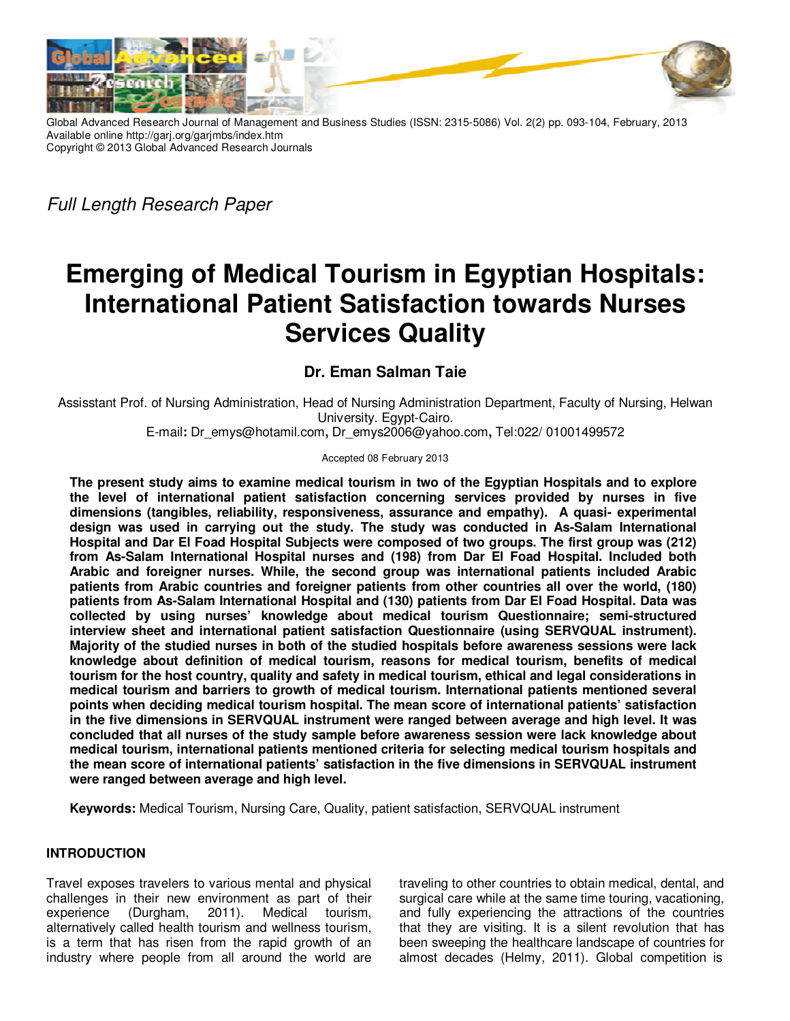

Global Advanced Research Journal of Management and Business Studies (ISSN: 2315-5086) Vol. 2(2) pp. 093-104, February, 2013 Available online http://garj.org/garjmbs/index.htm Copyright © 2013 Global Advanced Research Journals

*Full Length Research Paper* 

# **Emerging of Medical Tourism in Egyptian Hospitals: International Patient Satisfaction towards Nurses Services Quality**

## **Dr. Eman Salman Taie**

Assisstant Prof. of Nursing Administration, Head of Nursing Administration Department, Faculty of Nursing, Helwan University. Egypt-Cairo.

E-mail**:** Dr\_emys@hotamil.com**,** Dr\_emys2006@yahoo.com**,** Tel:022/ 01001499572

#### Accepted 08 February 2013

**The present study aims to examine medical tourism in two of the Egyptian Hospitals and to explore the level of international patient satisfaction concerning services provided by nurses in five dimensions (tangibles, reliability, responsiveness, assurance and empathy). A quasi- experimental design was used in carrying out the study. The study was conducted in As-Salam International Hospital and Dar El Foad Hospital Subjects were composed of two groups. The first group was (212) from As-Salam International Hospital nurses and (198) from Dar El Foad Hospital. Included both Arabic and foreigner nurses. While, the second group was international patients included Arabic patients from Arabic countries and foreigner patients from other countries all over the world, (180) patients from As-Salam International Hospital and (130) patients from Dar El Foad Hospital. Data was collected by using nurses' knowledge about medical tourism Questionnaire; semi-structured interview sheet and international patient satisfaction Questionnaire (using SERVQUAL instrument). Majority of the studied nurses in both of the studied hospitals before awareness sessions were lack knowledge about definition of medical tourism, reasons for medical tourism, benefits of medical tourism for the host country, quality and safety in medical tourism, ethical and legal considerations in medical tourism and barriers to growth of medical tourism. International patients mentioned several points when deciding medical tourism hospital. The mean score of international patients' satisfaction in the five dimensions in SERVQUAL instrument were ranged between average and high level. It was concluded that all nurses of the study sample before awareness session were lack knowledge about medical tourism, international patients mentioned criteria for selecting medical tourism hospitals and the mean score of international patients' satisfaction in the five dimensions in SERVQUAL instrument were ranged between average and high level.** 

**Keywords:** Medical Tourism, Nursing Care, Quality, patient satisfaction, SERVQUAL instrument

## **INTRODUCTION**

Travel exposes travelers to various mental and physical challenges in their new environment as part of their experience (Durgham, 2011). Medical tourism, alternatively called health tourism and wellness tourism, is a term that has risen from the rapid growth of an industry where people from all around the world are traveling to other countries to obtain medical, dental, and surgical care while at the same time touring, vacationing, and fully experiencing the attractions of the countries that they are visiting. It is a silent revolution that has been sweeping the healthcare landscape of countries for almost decades (Helmy, 2011). Global competition is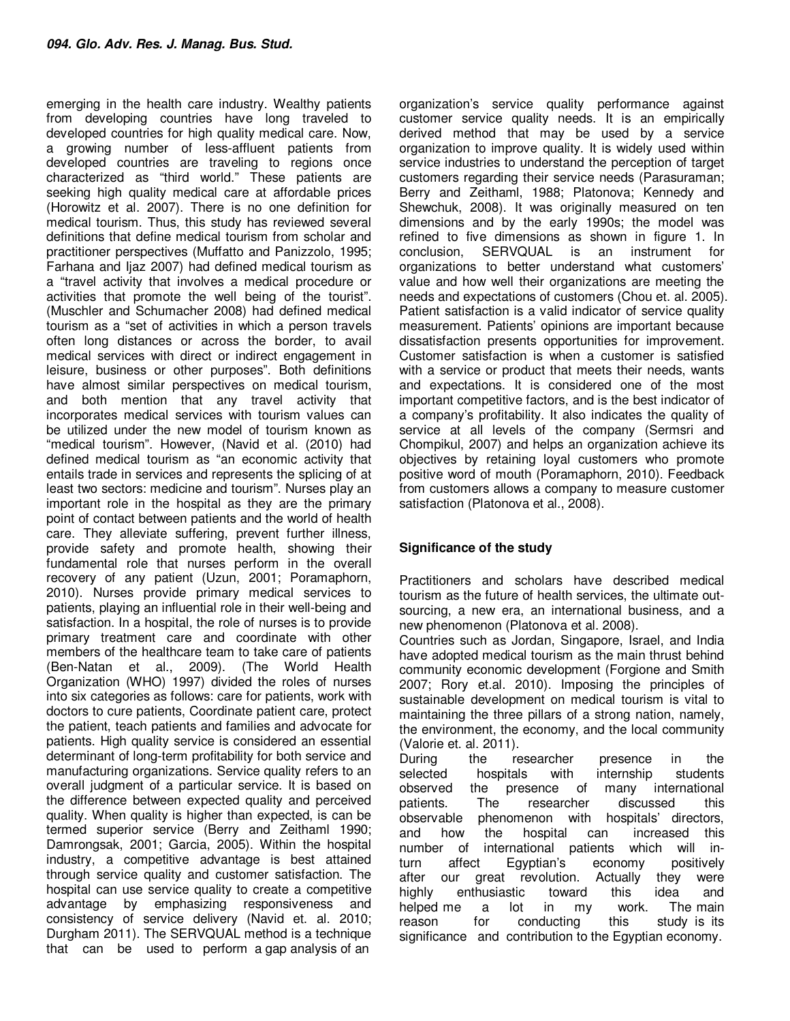emerging in the health care industry. Wealthy patients from developing countries have long traveled to developed countries for high quality medical care. Now, a growing number of less-affluent patients from developed countries are traveling to regions once characterized as "third world." These patients are seeking high quality medical care at affordable prices (Horowitz et al. 2007). There is no one definition for medical tourism. Thus, this study has reviewed several definitions that define medical tourism from scholar and practitioner perspectives (Muffatto and Panizzolo, 1995; Farhana and Ijaz 2007) had defined medical tourism as a "travel activity that involves a medical procedure or activities that promote the well being of the tourist". (Muschler and Schumacher 2008) had defined medical tourism as a "set of activities in which a person travels often long distances or across the border, to avail medical services with direct or indirect engagement in leisure, business or other purposes". Both definitions have almost similar perspectives on medical tourism, and both mention that any travel activity that incorporates medical services with tourism values can be utilized under the new model of tourism known as "medical tourism". However, (Navid et al. (2010) had defined medical tourism as "an economic activity that entails trade in services and represents the splicing of at least two sectors: medicine and tourism". Nurses play an important role in the hospital as they are the primary point of contact between patients and the world of health care. They alleviate suffering, prevent further illness, provide safety and promote health, showing their fundamental role that nurses perform in the overall recovery of any patient (Uzun, 2001; Poramaphorn, 2010). Nurses provide primary medical services to patients, playing an influential role in their well-being and satisfaction. In a hospital, the role of nurses is to provide primary treatment care and coordinate with other members of the healthcare team to take care of patients (Ben-Natan et al., 2009). (The World Health Organization (WHO) 1997) divided the roles of nurses into six categories as follows: care for patients, work with doctors to cure patients, Coordinate patient care, protect the patient, teach patients and families and advocate for patients. High quality service is considered an essential determinant of long-term profitability for both service and manufacturing organizations. Service quality refers to an overall judgment of a particular service. It is based on the difference between expected quality and perceived quality. When quality is higher than expected, is can be termed superior service (Berry and Zeithaml 1990; Damrongsak, 2001; Garcia, 2005). Within the hospital industry, a competitive advantage is best attained through service quality and customer satisfaction. The hospital can use service quality to create a competitive advantage by emphasizing responsiveness and consistency of service delivery (Navid et. al. 2010; Durgham 2011). The SERVQUAL method is a technique that can be used to perform a gap analysis of an

organization's service quality performance against customer service quality needs. It is an empirically derived method that may be used by a service organization to improve quality. It is widely used within service industries to understand the perception of target customers regarding their service needs (Parasuraman; Berry and Zeithaml, 1988; Platonova; Kennedy and Shewchuk, 2008). It was originally measured on ten dimensions and by the early 1990s; the model was refined to five dimensions as shown in figure 1. In conclusion, SERVQUAL is an instrument for organizations to better understand what customers' value and how well their organizations are meeting the needs and expectations of customers (Chou et. al. 2005). Patient satisfaction is a valid indicator of service quality measurement. Patients' opinions are important because dissatisfaction presents opportunities for improvement. Customer satisfaction is when a customer is satisfied with a service or product that meets their needs, wants and expectations. It is considered one of the most important competitive factors, and is the best indicator of a company's profitability. It also indicates the quality of service at all levels of the company (Sermsri and Chompikul, 2007) and helps an organization achieve its objectives by retaining loyal customers who promote positive word of mouth (Poramaphorn, 2010). Feedback from customers allows a company to measure customer satisfaction (Platonova et al., 2008).

## **Significance of the study**

Practitioners and scholars have described medical tourism as the future of health services, the ultimate outsourcing, a new era, an international business, and a new phenomenon (Platonova et al. 2008).

Countries such as Jordan, Singapore, Israel, and India have adopted medical tourism as the main thrust behind community economic development (Forgione and Smith 2007; Rory et.al. 2010). Imposing the principles of sustainable development on medical tourism is vital to maintaining the three pillars of a strong nation, namely, the environment, the economy, and the local community (Valorie et. al. 2011).

During the researcher presence in the selected hospitals with internship students observed the presence of many international patients. The researcher discussed this observable phenomenon with hospitals' directors, and how the hospital can increased this number of international patients which will inturn affect Egyptian's economy positively after our great revolution. Actually they were highly enthusiastic toward this idea and helped me a lot in my work. The main reason for conducting this study is its significance and contribution to the Egyptian economy.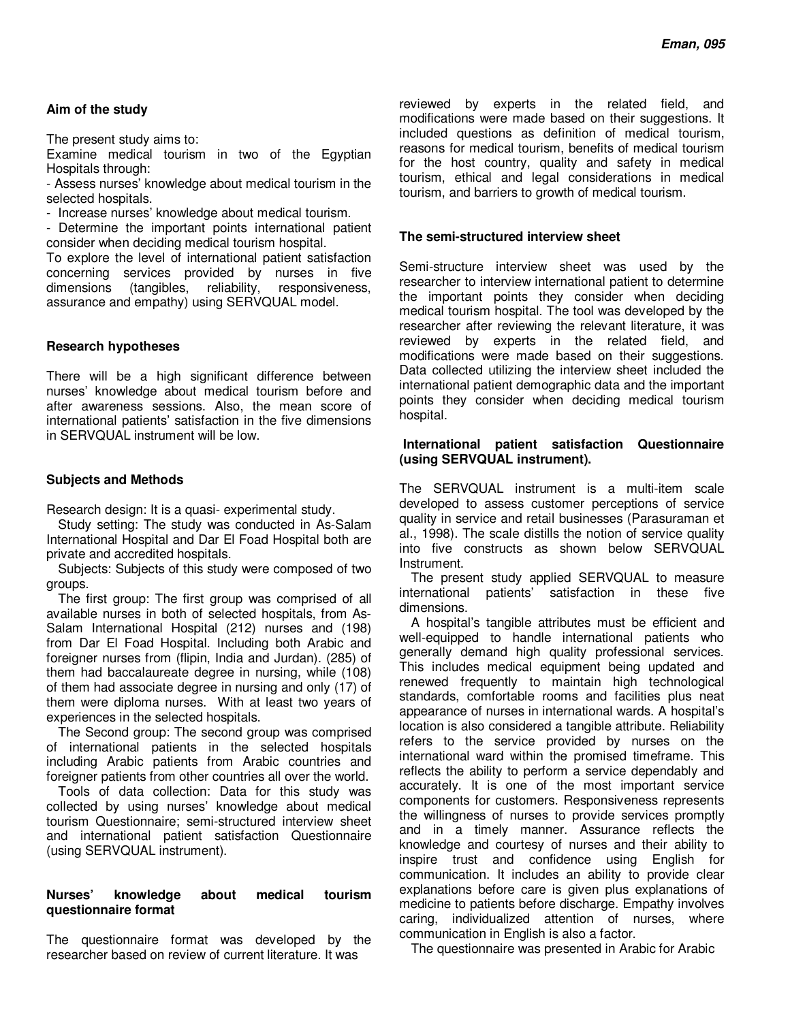## **Aim of the study**

The present study aims to:

Examine medical tourism in two of the Egyptian Hospitals through:

- Assess nurses' knowledge about medical tourism in the selected hospitals.

- Increase nurses' knowledge about medical tourism.

- Determine the important points international patient consider when deciding medical tourism hospital.

To explore the level of international patient satisfaction concerning services provided by nurses in five dimensions (tangibles, reliability, responsiveness, assurance and empathy) using SERVQUAL model.

## **Research hypotheses**

There will be a high significant difference between nurses' knowledge about medical tourism before and after awareness sessions. Also, the mean score of international patients' satisfaction in the five dimensions in SERVQUAL instrument will be low.

## **Subjects and Methods**

Research design: It is a quasi- experimental study.

Study setting: The study was conducted in As-Salam International Hospital and Dar El Foad Hospital both are private and accredited hospitals.

Subjects: Subjects of this study were composed of two groups.

The first group: The first group was comprised of all available nurses in both of selected hospitals, from As-Salam International Hospital (212) nurses and (198) from Dar El Foad Hospital. Including both Arabic and foreigner nurses from (flipin, India and Jurdan). (285) of them had baccalaureate degree in nursing, while (108) of them had associate degree in nursing and only (17) of them were diploma nurses. With at least two years of experiences in the selected hospitals.

The Second group: The second group was comprised of international patients in the selected hospitals including Arabic patients from Arabic countries and foreigner patients from other countries all over the world.

Tools of data collection: Data for this study was collected by using nurses' knowledge about medical tourism Questionnaire; semi-structured interview sheet and international patient satisfaction Questionnaire (using SERVQUAL instrument).

## **Nurses' knowledge about medical tourism questionnaire format**

The questionnaire format was developed by the researcher based on review of current literature. It was

reviewed by experts in the related field, and modifications were made based on their suggestions. It included questions as definition of medical tourism, reasons for medical tourism, benefits of medical tourism for the host country, quality and safety in medical tourism, ethical and legal considerations in medical tourism, and barriers to growth of medical tourism.

## **The semi-structured interview sheet**

Semi-structure interview sheet was used by the researcher to interview international patient to determine the important points they consider when deciding medical tourism hospital. The tool was developed by the researcher after reviewing the relevant literature, it was reviewed by experts in the related field, and modifications were made based on their suggestions. Data collected utilizing the interview sheet included the international patient demographic data and the important points they consider when deciding medical tourism hospital.

#### **International patient satisfaction Questionnaire (using SERVQUAL instrument).**

The SERVQUAL instrument is a multi-item scale developed to assess customer perceptions of service quality in service and retail businesses (Parasuraman et al., 1998). The scale distills the notion of service quality into five constructs as shown below SERVQUAL Instrument.

The present study applied SERVQUAL to measure international patients' satisfaction in these five dimensions.

A hospital's tangible attributes must be efficient and well-equipped to handle international patients who generally demand high quality professional services. This includes medical equipment being updated and renewed frequently to maintain high technological standards, comfortable rooms and facilities plus neat appearance of nurses in international wards. A hospital's location is also considered a tangible attribute. Reliability refers to the service provided by nurses on the international ward within the promised timeframe. This reflects the ability to perform a service dependably and accurately. It is one of the most important service components for customers. Responsiveness represents the willingness of nurses to provide services promptly and in a timely manner. Assurance reflects the knowledge and courtesy of nurses and their ability to inspire trust and confidence using English for communication. It includes an ability to provide clear explanations before care is given plus explanations of medicine to patients before discharge. Empathy involves caring, individualized attention of nurses, where communication in English is also a factor.

The questionnaire was presented in Arabic for Arabic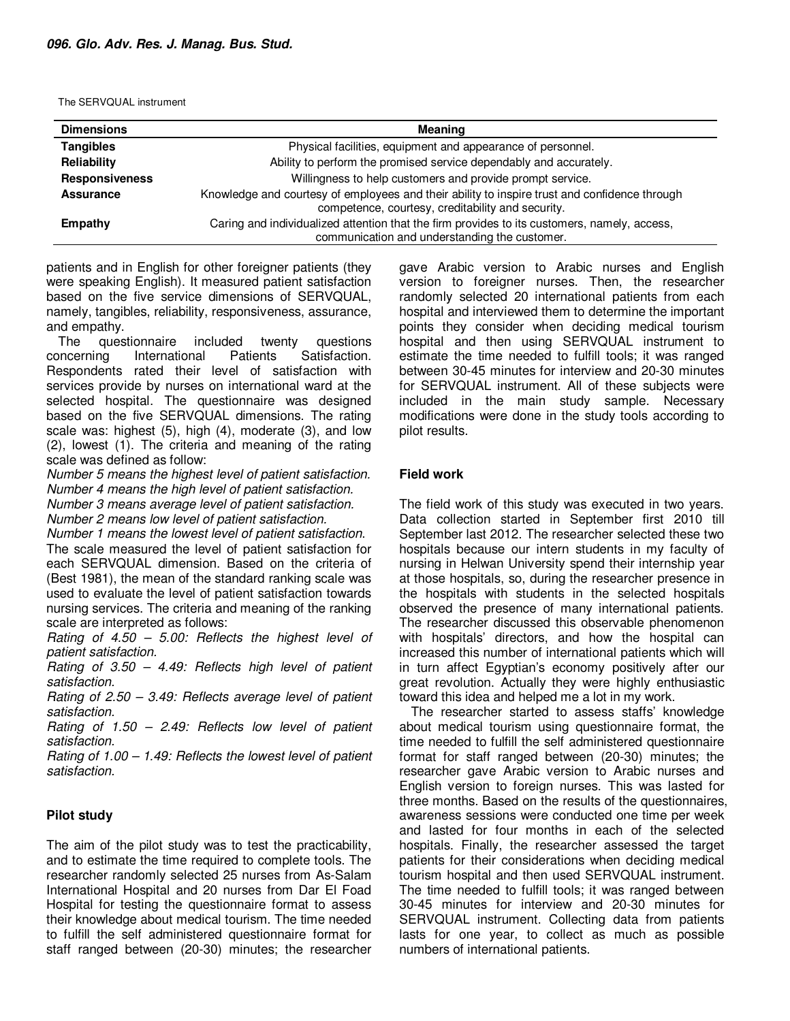The SERVQUAL instrument

| <b>Dimensions</b>     | <b>Meaning</b>                                                                                                                                     |
|-----------------------|----------------------------------------------------------------------------------------------------------------------------------------------------|
| <b>Tangibles</b>      | Physical facilities, equipment and appearance of personnel.                                                                                        |
| Reliability           | Ability to perform the promised service dependably and accurately.                                                                                 |
| <b>Responsiveness</b> | Willingness to help customers and provide prompt service.                                                                                          |
| <b>Assurance</b>      | Knowledge and courtesy of employees and their ability to inspire trust and confidence through<br>competence, courtesy, creditability and security. |
| Empathy               | Caring and individualized attention that the firm provides to its customers, namely, access,<br>communication and understanding the customer.      |

patients and in English for other foreigner patients (they were speaking English). It measured patient satisfaction based on the five service dimensions of SERVQUAL, namely, tangibles, reliability, responsiveness, assurance, and empathy.

The questionnaire included twenty questions concerning International Patients Satisfaction. Respondents rated their level of satisfaction with services provide by nurses on international ward at the selected hospital. The questionnaire was designed based on the five SERVQUAL dimensions. The rating scale was: highest (5), high (4), moderate (3), and low (2), lowest (1). The criteria and meaning of the rating scale was defined as follow:

*Number 5 means the highest level of patient satisfaction. Number 4 means the high level of patient satisfaction. Number 3 means average level of patient satisfaction. Number 2 means low level of patient satisfaction.* 

*Number 1 means the lowest level of patient satisfaction*. The scale measured the level of patient satisfaction for each SERVQUAL dimension. Based on the criteria of

(Best 1981), the mean of the standard ranking scale was used to evaluate the level of patient satisfaction towards nursing services. The criteria and meaning of the ranking scale are interpreted as follows:

*Rating of 4.50 – 5.00: Reflects the highest level of patient satisfaction.* 

*Rating of 3.50 – 4.49: Reflects high level of patient satisfaction.* 

*Rating of 2.50 – 3.49: Reflects average level of patient satisfaction.* 

*Rating of 1.50 – 2.49: Reflects low level of patient satisfaction.* 

*Rating of 1.00 – 1.49: Reflects the lowest level of patient satisfaction.* 

#### **Pilot study**

The aim of the pilot study was to test the practicability, and to estimate the time required to complete tools. The researcher randomly selected 25 nurses from As-Salam International Hospital and 20 nurses from Dar El Foad Hospital for testing the questionnaire format to assess their knowledge about medical tourism. The time needed to fulfill the self administered questionnaire format for staff ranged between (20-30) minutes; the researcher gave Arabic version to Arabic nurses and English version to foreigner nurses. Then, the researcher randomly selected 20 international patients from each hospital and interviewed them to determine the important points they consider when deciding medical tourism hospital and then using SERVQUAL instrument to estimate the time needed to fulfill tools; it was ranged between 30-45 minutes for interview and 20-30 minutes for SERVQUAL instrument. All of these subjects were included in the main study sample. Necessary modifications were done in the study tools according to pilot results.

#### **Field work**

The field work of this study was executed in two years. Data collection started in September first 2010 till September last 2012. The researcher selected these two hospitals because our intern students in my faculty of nursing in Helwan University spend their internship year at those hospitals, so, during the researcher presence in the hospitals with students in the selected hospitals observed the presence of many international patients. The researcher discussed this observable phenomenon with hospitals' directors, and how the hospital can increased this number of international patients which will in turn affect Egyptian's economy positively after our great revolution. Actually they were highly enthusiastic toward this idea and helped me a lot in my work.

The researcher started to assess staffs' knowledge about medical tourism using questionnaire format, the time needed to fulfill the self administered questionnaire format for staff ranged between (20-30) minutes; the researcher gave Arabic version to Arabic nurses and English version to foreign nurses. This was lasted for three months. Based on the results of the questionnaires, awareness sessions were conducted one time per week and lasted for four months in each of the selected hospitals. Finally, the researcher assessed the target patients for their considerations when deciding medical tourism hospital and then used SERVQUAL instrument. The time needed to fulfill tools; it was ranged between 30-45 minutes for interview and 20-30 minutes for SERVQUAL instrument. Collecting data from patients lasts for one year, to collect as much as possible numbers of international patients.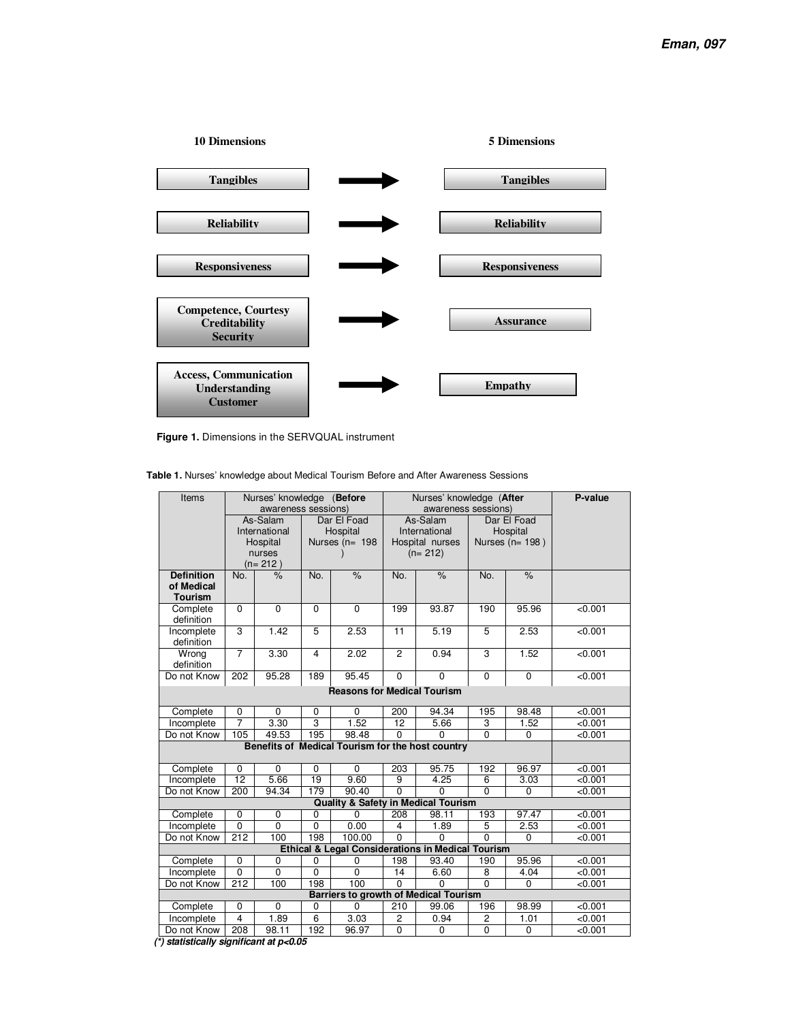

**Figure 1.** Dimensions in the SERVQUAL instrument

**Table 1.** Nurses' knowledge about Medical Tourism Before and After Awareness Sessions

| Items                              |                | Nurses' knowledge (Before<br>awareness sessions) |                  |                                                          | Nurses' knowledge (After<br>awareness sessions) |                     |                |                     | P-value |  |
|------------------------------------|----------------|--------------------------------------------------|------------------|----------------------------------------------------------|-------------------------------------------------|---------------------|----------------|---------------------|---------|--|
|                                    |                | As-Salam                                         |                  | Dar El Foad                                              |                                                 | As-Salam            |                | Dar El Foad         |         |  |
|                                    |                | International                                    |                  | Hospital                                                 | International<br>Hospital                       |                     |                |                     |         |  |
|                                    | Hospital       |                                                  | Nurses ( $n=198$ |                                                          | Hospital nurses                                 |                     |                | Nurses ( $n=198$ )  |         |  |
|                                    |                | nurses                                           |                  |                                                          | $(n=212)$                                       |                     |                |                     |         |  |
|                                    |                | $(n=212)$                                        |                  |                                                          |                                                 |                     |                |                     |         |  |
| <b>Definition</b><br>of Medical    | No.            | $\%$                                             | No.              | $\frac{9}{6}$                                            | No.                                             | $\frac{9}{6}$       | No.            | $\frac{9}{6}$       |         |  |
| <b>Tourism</b>                     |                |                                                  |                  |                                                          |                                                 |                     |                |                     |         |  |
| Complete                           | $\Omega$       | $\Omega$                                         | $\Omega$         | $\Omega$                                                 | 199                                             | 93.87               | 190            | 95.96               | < 0.001 |  |
| definition                         |                |                                                  |                  |                                                          |                                                 |                     |                |                     |         |  |
| Incomplete                         | $\overline{3}$ | 1.42                                             | 5                | 2.53                                                     | 11                                              | 5.19                | 5              | 2.53                | < 0.001 |  |
| definition                         |                |                                                  |                  |                                                          |                                                 |                     |                |                     |         |  |
| Wrong                              | $\overline{7}$ | 3.30                                             | $\overline{4}$   | 2.02                                                     | $\overline{c}$                                  | 0.94                | $\overline{3}$ | 1.52                | < 0.001 |  |
| definition                         |                |                                                  |                  |                                                          |                                                 |                     |                |                     |         |  |
| Do not Know                        | 202            | 95.28                                            | 189              | 95.45                                                    | $\Omega$                                        | $\Omega$            | $\overline{0}$ | 0                   | < 0.001 |  |
| <b>Reasons for Medical Tourism</b> |                |                                                  |                  |                                                          |                                                 |                     |                |                     |         |  |
| Complete                           | 0              | 0                                                | 0                | 0                                                        | 200                                             | 94.34               | 195            | 98.48               | < 0.001 |  |
| Incomplete                         | $\overline{7}$ | 3.30                                             | 3                | 1.52                                                     | 12                                              | 5.66                | 3              | 1.52                | < 0.001 |  |
| Do not Know                        | 105            | 49.53                                            | 195              | 98.48                                                    | 0                                               | $\Omega$            | $\overline{0}$ | 0                   | < 0.001 |  |
|                                    |                |                                                  |                  | Benefits of Medical Tourism for the host country         |                                                 |                     |                |                     |         |  |
| Complete                           | $\mathbf 0$    | $\Omega$                                         | 0                | $\Omega$                                                 | 203                                             | 95.75               | 192            | 96.97               | < 0.001 |  |
| Incomplete                         | 12             | 5.66                                             | 19               | 9.60                                                     | 9                                               | 4.25                | 6              | 3.03                | < 0.001 |  |
| Do not Know                        | 200            | 94.34                                            | 179              | 90.40                                                    | $\overline{0}$                                  | 0                   | $\Omega$       | 0                   | < 0.001 |  |
|                                    |                |                                                  |                  | <b>Quality &amp; Safety in Medical Tourism</b>           |                                                 |                     |                |                     |         |  |
| Complete                           | $\mathbf 0$    | 0                                                | 0                | 0                                                        | 208                                             | 98.11               | 193            | 97.47               | < 0.001 |  |
| Incomplete                         | $\overline{0}$ | 0                                                | $\mathbf 0$      | 0.00                                                     | $\overline{\mathbf{4}}$                         | 1.89                | 5              | 2.53                | < 0.001 |  |
| Do not Know                        | 212            | 100                                              | 198              | 100.00                                                   | $\Omega$                                        | $\Omega$            | $\Omega$       | $\Omega$            | < 0.001 |  |
|                                    |                |                                                  |                  | Ethical & Legal Considerations in Medical Tourism        |                                                 |                     |                |                     |         |  |
| Complete                           | $\mathbf 0$    | 0                                                | 0                | 0                                                        | 198                                             | 93.40               | 190            | 95.96               | < 0.001 |  |
| Incomplete                         | $\overline{0}$ | $\overline{0}$                                   | $\overline{0}$   | $\overline{0}$                                           | 14                                              | 6.60                | 8              | 4.04                | < 0.001 |  |
| Do not Know                        | 212            | 100                                              | 198              | 100                                                      | $\Omega$                                        | $\overline{0}$      | $\Omega$       | $\mathbf 0$         | < 0.001 |  |
|                                    | 0              | 0                                                |                  | <b>Barriers to growth of Medical Tourism</b><br>$\Omega$ | $\overline{210}$                                | 99.06               | 196            | 98.99               | < 0.001 |  |
| Complete                           | $\overline{4}$ | 1.89                                             | 0<br>6           | 3.03                                                     | 2                                               |                     |                |                     | < 0.001 |  |
| Incomplete<br>Do not Know          | 208            |                                                  | 192              |                                                          | 0                                               | 0.94<br>$\mathbf 0$ | 2<br>0         | 1.01<br>$\mathbf 0$ |         |  |
|                                    |                | 98.11                                            |                  | 96.97                                                    |                                                 |                     |                |                     | < 0.001 |  |

 **(\*) statistically significant at p<0.05**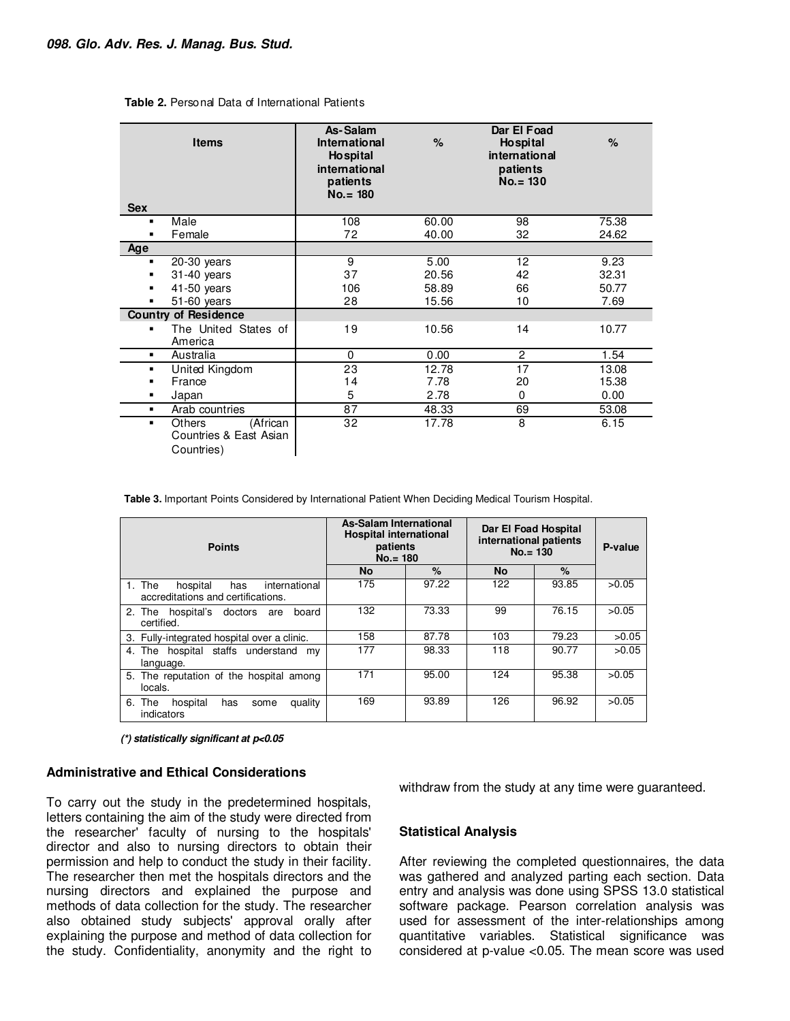| <b>Items</b><br><b>Sex</b>                                      | As-Salam<br><b>International</b><br><b>Hospital</b><br>international<br>patients<br>$No. = 180$ | %     | Dar El Foad<br><b>Hospital</b><br>international<br>patients<br>$No. = 130$ | $\%$  |
|-----------------------------------------------------------------|-------------------------------------------------------------------------------------------------|-------|----------------------------------------------------------------------------|-------|
| Male<br>٠                                                       | 108                                                                                             | 60.00 | 98                                                                         | 75.38 |
| Female<br>٠                                                     | 72                                                                                              | 40.00 | 32                                                                         | 24.62 |
| Age                                                             |                                                                                                 |       |                                                                            |       |
| $20-30$ years<br>$\blacksquare$                                 | 9                                                                                               | 5.00  | 12                                                                         | 9.23  |
| 31-40 years<br>٠                                                | 37                                                                                              | 20.56 | 42                                                                         | 32.31 |
| $41-50$ years<br>٠                                              | 106                                                                                             | 58.89 | 66                                                                         | 50.77 |
| 51-60 years<br>٠                                                | 28                                                                                              | 15.56 | 10                                                                         | 7.69  |
| <b>Country of Residence</b>                                     |                                                                                                 |       |                                                                            |       |
| The United States of<br>٠<br>America                            | 19                                                                                              | 10.56 | 14                                                                         | 10.77 |
| Australia                                                       | $\Omega$                                                                                        | 0.00  | $\overline{2}$                                                             | 1.54  |
| United Kingdom<br>$\blacksquare$                                | 23                                                                                              | 12.78 | 17                                                                         | 13.08 |
| France<br>٠                                                     | 14                                                                                              | 7.78  | 20                                                                         | 15.38 |
| Japan<br>٠                                                      | 5                                                                                               | 2.78  | 0                                                                          | 0.00  |
| Arab countries<br>٠                                             | 87                                                                                              | 48.33 | 69                                                                         | 53.08 |
| (African<br>Others<br>٠<br>Countries & East Asian<br>Countries) | 32                                                                                              | 17.78 | 8                                                                          | 6.15  |

#### **Table 2.** Personal Data of International Patients

 **Table 3.** Important Points Considered by International Patient When Deciding Medical Tourism Hospital.

| <b>Points</b>                                                                       | <b>As-Salam International</b><br><b>Hospital international</b><br>patients<br>$No. = 180$ |       | Dar El Foad Hospital<br>international patients<br>$No. = 130$ | P-value |       |
|-------------------------------------------------------------------------------------|-------------------------------------------------------------------------------------------|-------|---------------------------------------------------------------|---------|-------|
|                                                                                     | <b>No</b>                                                                                 | $\%$  | <b>No</b>                                                     | $\%$    |       |
| The<br>hospital<br>international<br>has<br>1.<br>accreditations and certifications. | 175                                                                                       | 97.22 | 122                                                           | 93.85   | >0.05 |
| 2. The hospital's doctors<br>board<br>are<br>certified.                             | 132                                                                                       | 73.33 | 99                                                            | 76.15   | >0.05 |
| 3. Fully-integrated hospital over a clinic.                                         | 158                                                                                       | 87.78 | 103                                                           | 79.23   | >0.05 |
| 4. The hospital staffs understand<br>mv<br>language.                                | 177                                                                                       | 98.33 | 118                                                           | 90.77   | >0.05 |
| 5. The reputation of the hospital among<br>locals.                                  | 171                                                                                       | 95.00 | 124                                                           | 95.38   | >0.05 |
| 6. The<br>hospital<br>quality<br>has<br>some<br>indicators                          | 169                                                                                       | 93.89 | 126                                                           | 96.92   | >0.05 |

**(\*) statistically significant at p<0.05** 

#### **Administrative and Ethical Considerations**

To carry out the study in the predetermined hospitals, letters containing the aim of the study were directed from the researcher' faculty of nursing to the hospitals' director and also to nursing directors to obtain their permission and help to conduct the study in their facility. The researcher then met the hospitals directors and the nursing directors and explained the purpose and methods of data collection for the study. The researcher also obtained study subjects' approval orally after explaining the purpose and method of data collection for the study. Confidentiality, anonymity and the right to withdraw from the study at any time were guaranteed.

#### **Statistical Analysis**

After reviewing the completed questionnaires, the data was gathered and analyzed parting each section. Data entry and analysis was done using SPSS 13.0 statistical software package. Pearson correlation analysis was used for assessment of the inter-relationships among quantitative variables. Statistical significance was considered at p-value <0.05. The mean score was used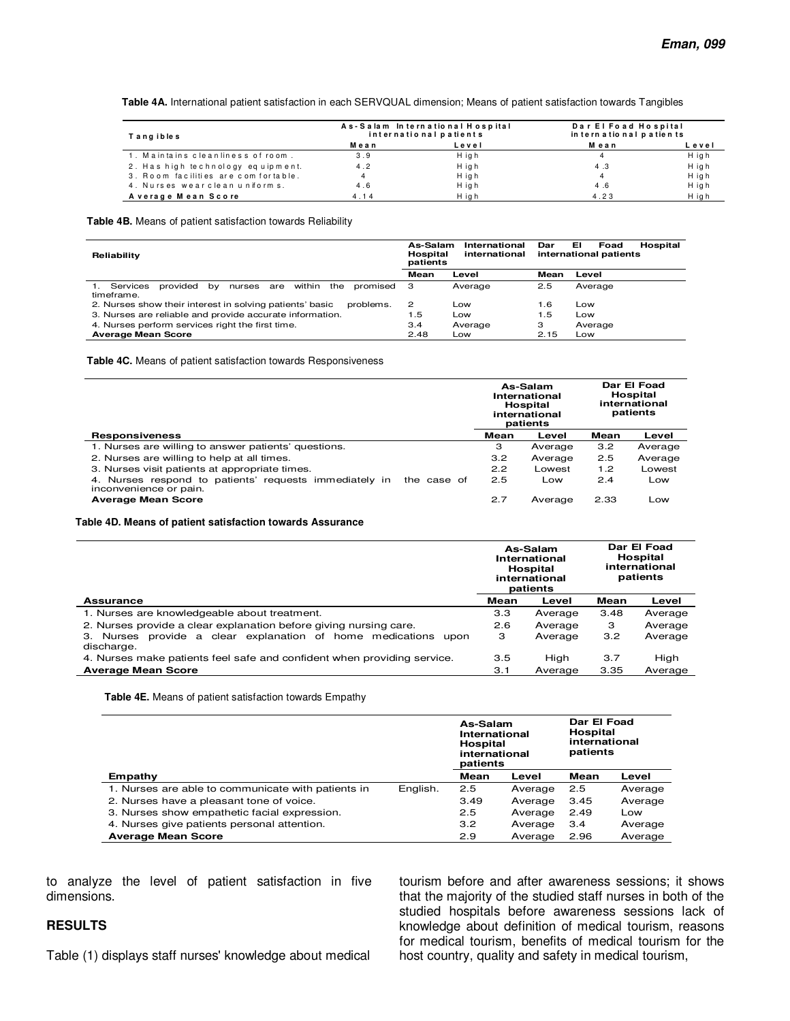**Table 4A.** International patient satisfaction in each SERVQUAL dimension; Means of patient satisfaction towards Tangibles

| Tangibles                             |      | As-Salam International Hospital<br>international patients | Dar El Foad Hospital<br>in tern a tional patients |       |  |
|---------------------------------------|------|-----------------------------------------------------------|---------------------------------------------------|-------|--|
|                                       | Mean | Level                                                     | Mean                                              | Level |  |
| 1. Maintains cleanliness of room.     | 3.9  | H igh                                                     | 4                                                 | H igh |  |
| 2. Has high technology equipment.     | 4.2  | H igh                                                     | 4.3                                               | H igh |  |
| 3. Room facilities are com for table. | 4    | H igh                                                     | 4                                                 | H igh |  |
| 4. Nurses wearclean uniforms.         | 4.6  | H igh                                                     | 4.6                                               | H igh |  |
| A verage Mean Score                   | 4.14 | Hiah                                                      | 4.23                                              | H igh |  |

**Table 4B.** Means of patient satisfaction towards Reliability

| Reliability                                                                            | As-Salam<br><b>Hospital</b><br>patients | International<br>international | Dar  | ЕΙ<br>Foad<br>Hospital<br>international patients |
|----------------------------------------------------------------------------------------|-----------------------------------------|--------------------------------|------|--------------------------------------------------|
|                                                                                        | Mean                                    | Level                          | Mean | Level                                            |
| Services<br>provided<br>within<br>the<br>promised<br>nurses<br>are<br>bv<br>timeframe. | з                                       | Average                        | 2.5  | Average                                          |
| 2. Nurses show their interest in solving patients' basic<br>problems.                  | 2                                       | Low                            | 1.6  | Low                                              |
| 3. Nurses are reliable and provide accurate information.                               | 1.5                                     | Low                            | 1.5  | Low                                              |
| 4. Nurses perform services right the first time.                                       | 3.4                                     | Average                        | з    | Average                                          |
| <b>Average Mean Score</b>                                                              | 2.48                                    | Low                            | 2.15 | Low                                              |

**Table 4C.** Means of patient satisfaction towards Responsiveness

|                                                                                                 |      | As-Salam<br>International<br>Hospital<br>international<br>patients | Dar El Foad<br>Hospital<br>international<br>patients |         |
|-------------------------------------------------------------------------------------------------|------|--------------------------------------------------------------------|------------------------------------------------------|---------|
| <b>Responsiveness</b>                                                                           | Mean | Level                                                              | Mean                                                 | Level   |
| 1. Nurses are willing to answer patients' questions.                                            | З    | Average                                                            | 3.2                                                  | Average |
| 2. Nurses are willing to help at all times.                                                     | 3.2  | Average                                                            | 2.5                                                  | Average |
| 3. Nurses visit patients at appropriate times.                                                  | 2.2  | Lowest                                                             | 1.2                                                  | Lowest  |
| 4. Nurses respond to patients' requests immediately in<br>the case of<br>inconvenience or pain. | 2.5  | Low                                                                | 2.4                                                  | Low     |
| <b>Average Mean Score</b>                                                                       | 2.7  | Average                                                            | 2.33                                                 | Low     |

#### **Table 4D. Means of patient satisfaction towards Assurance**

|                                                                                    |      | As-Salam<br>International<br><b>Hospital</b><br>international<br>patients | Dar El Foad<br><b>Hospital</b><br>international<br>patients |         |
|------------------------------------------------------------------------------------|------|---------------------------------------------------------------------------|-------------------------------------------------------------|---------|
| Assurance                                                                          | Mean | Level                                                                     | Mean                                                        | Level   |
| 1. Nurses are knowledgeable about treatment.                                       | 3.3  | Average                                                                   | 3.48                                                        | Average |
| 2. Nurses provide a clear explanation before giving nursing care.                  | 2.6  | Average                                                                   | 3                                                           | Average |
| provide a clear explanation of home medications<br>3. Nurses<br>upon<br>discharge. | З    | Average                                                                   | 3.2                                                         | Average |
| 4. Nurses make patients feel safe and confident when providing service.            | 3.5  | High                                                                      | 3.7                                                         | High    |
| <b>Average Mean Score</b>                                                          | 3.1  | Average                                                                   | 3.35                                                        | Average |

**Table 4E.** Means of patient satisfaction towards Empathy

|                                                    |          | As-Salam<br>International<br>Hospital<br>international<br>patients |         | Dar El Foad<br><b>Hospital</b><br>international<br>patients |         |
|----------------------------------------------------|----------|--------------------------------------------------------------------|---------|-------------------------------------------------------------|---------|
| Empathy                                            |          | Mean                                                               | Level   | Mean                                                        | Level   |
| 1. Nurses are able to communicate with patients in | English. | 2.5                                                                | Average | 2.5                                                         | Average |
| 2. Nurses have a pleasant tone of voice.           |          | 3.49                                                               | Average | 3.45                                                        | Average |
| 3. Nurses show empathetic facial expression.       |          | 2.5                                                                | Average | 2.49                                                        | Low     |
| 4. Nurses give patients personal attention.        |          | 3.2                                                                | Average | 3.4                                                         | Average |
| <b>Average Mean Score</b>                          |          | 2.9                                                                | Average | 2.96                                                        | Average |

to analyze the level of patient satisfaction in five dimensions.

#### **RESULTS**

Table (1) displays staff nurses' knowledge about medical

tourism before and after awareness sessions; it shows that the majority of the studied staff nurses in both of the studied hospitals before awareness sessions lack of knowledge about definition of medical tourism, reasons for medical tourism, benefits of medical tourism for the host country, quality and safety in medical tourism,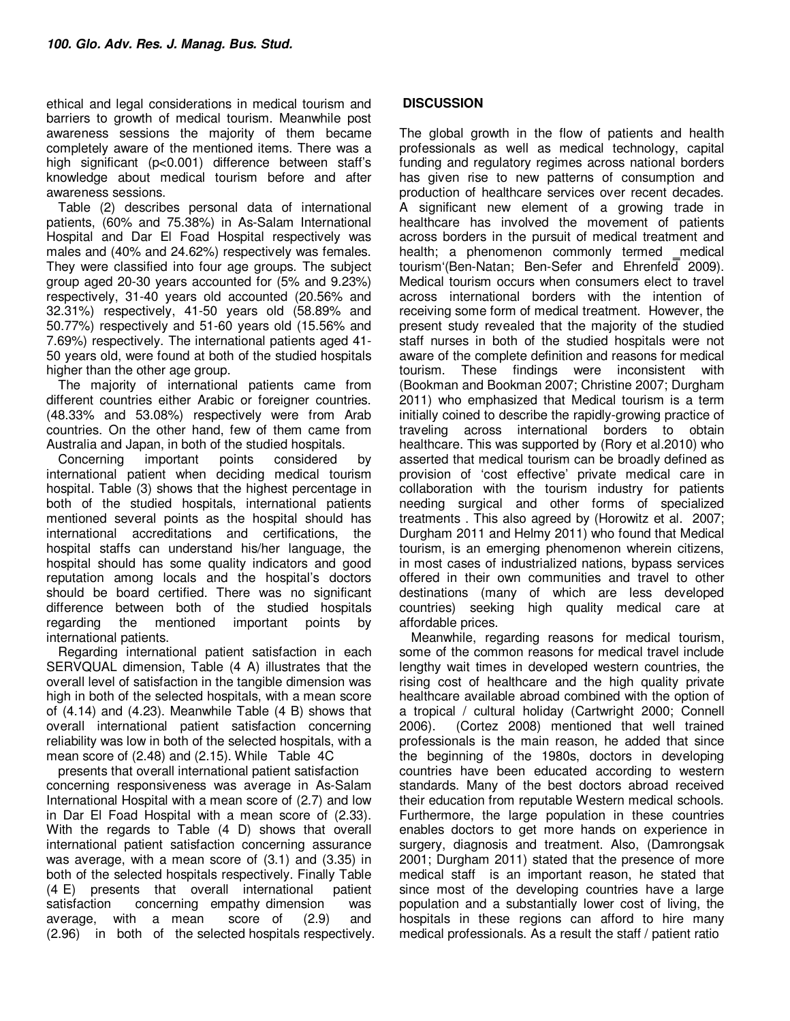ethical and legal considerations in medical tourism and barriers to growth of medical tourism. Meanwhile post awareness sessions the majority of them became completely aware of the mentioned items. There was a high significant (p<0.001) difference between staff's knowledge about medical tourism before and after awareness sessions.

Table (2) describes personal data of international patients, (60% and 75.38%) in As-Salam International Hospital and Dar El Foad Hospital respectively was males and (40% and 24.62%) respectively was females. They were classified into four age groups. The subject group aged 20-30 years accounted for (5% and 9.23%) respectively, 31-40 years old accounted (20.56% and 32.31%) respectively, 41-50 years old (58.89% and 50.77%) respectively and 51-60 years old (15.56% and 7.69%) respectively. The international patients aged 41- 50 years old, were found at both of the studied hospitals higher than the other age group.

The majority of international patients came from different countries either Arabic or foreigner countries. (48.33% and 53.08%) respectively were from Arab countries. On the other hand, few of them came from Australia and Japan, in both of the studied hospitals.

Concerning important points considered by international patient when deciding medical tourism hospital. Table (3) shows that the highest percentage in both of the studied hospitals, international patients mentioned several points as the hospital should has international accreditations and certifications, the hospital staffs can understand his/her language, the hospital should has some quality indicators and good reputation among locals and the hospital's doctors should be board certified. There was no significant difference between both of the studied hospitals regarding the mentioned important points by international patients.

Regarding international patient satisfaction in each SERVQUAL dimension, Table (4 A) illustrates that the overall level of satisfaction in the tangible dimension was high in both of the selected hospitals, with a mean score of (4.14) and (4.23). Meanwhile Table (4 B) shows that overall international patient satisfaction concerning reliability was low in both of the selected hospitals, with a mean score of (2.48) and (2.15). While Table 4C

presents that overall international patient satisfaction concerning responsiveness was average in As-Salam International Hospital with a mean score of (2.7) and low in Dar El Foad Hospital with a mean score of (2.33). With the regards to Table (4 D) shows that overall international patient satisfaction concerning assurance was average, with a mean score of (3.1) and (3.35) in both of the selected hospitals respectively. Finally Table (4 E) presents that overall international patient satisfaction concerning empathy dimension was average, with a mean score of (2.9) and (2.96) in both of the selected hospitals respectively.

## **DISCUSSION**

The global growth in the flow of patients and health professionals as well as medical technology, capital funding and regulatory regimes across national borders has given rise to new patterns of consumption and production of healthcare services over recent decades. A significant new element of a growing trade in healthcare has involved the movement of patients across borders in the pursuit of medical treatment and health; a phenomenon commonly termed \_medical tourism (Ben-Natan; Ben-Sefer and Ehrenfeld 2009). Medical tourism occurs when consumers elect to travel across international borders with the intention of receiving some form of medical treatment. However, the present study revealed that the majority of the studied staff nurses in both of the studied hospitals were not aware of the complete definition and reasons for medical tourism. These findings were inconsistent with (Bookman and Bookman 2007; Christine 2007; Durgham 2011) who emphasized that Medical tourism is a term initially coined to describe the rapidly-growing practice of traveling across international borders to obtain healthcare. This was supported by (Rory et al.2010) who asserted that medical tourism can be broadly defined as provision of 'cost effective' private medical care in collaboration with the tourism industry for patients needing surgical and other forms of specialized treatments . This also agreed by (Horowitz et al. 2007; Durgham 2011 and Helmy 2011) who found that Medical tourism, is an emerging phenomenon wherein citizens, in most cases of industrialized nations, bypass services offered in their own communities and travel to other destinations (many of which are less developed countries) seeking high quality medical care at affordable prices.

Meanwhile, regarding reasons for medical tourism, some of the common reasons for medical travel include lengthy wait times in developed western countries, the rising cost of healthcare and the high quality private healthcare available abroad combined with the option of a tropical / cultural holiday (Cartwright 2000; Connell 2006). (Cortez 2008) mentioned that well trained professionals is the main reason, he added that since the beginning of the 1980s, doctors in developing countries have been educated according to western standards. Many of the best doctors abroad received their education from reputable Western medical schools. Furthermore, the large population in these countries enables doctors to get more hands on experience in surgery, diagnosis and treatment. Also, (Damrongsak 2001; Durgham 2011) stated that the presence of more medical staff is an important reason, he stated that since most of the developing countries have a large population and a substantially lower cost of living, the hospitals in these regions can afford to hire many medical professionals. As a result the staff / patient ratio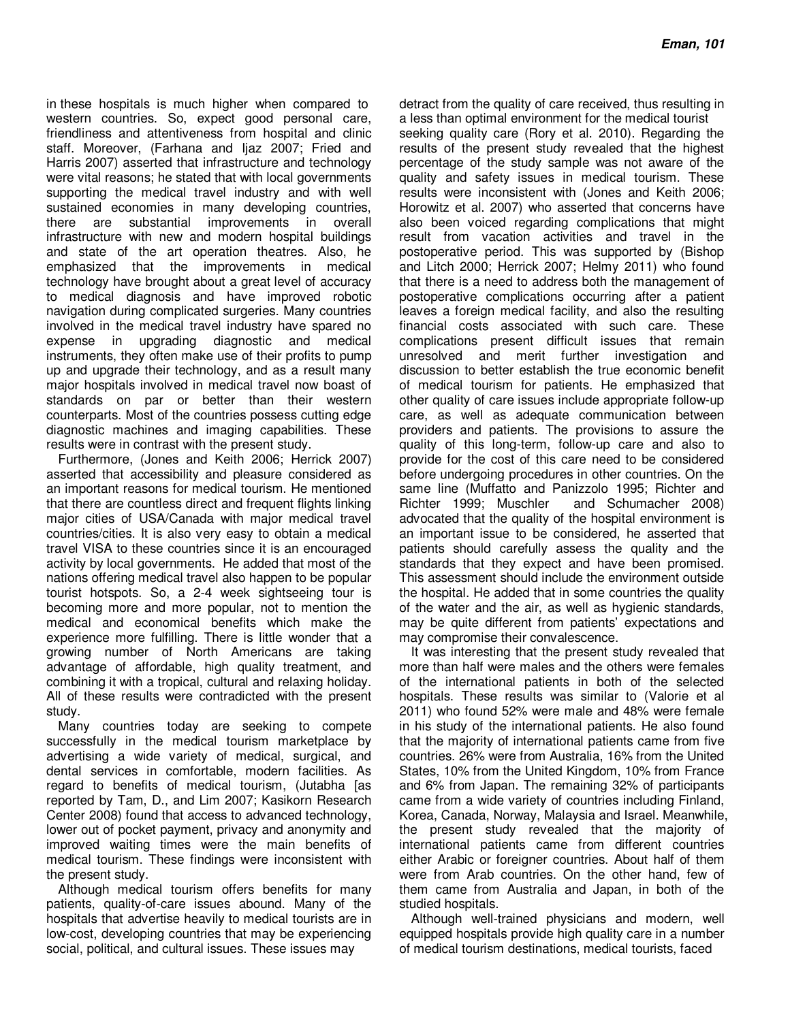in these hospitals is much higher when compared to western countries. So, expect good personal care, friendliness and attentiveness from hospital and clinic staff. Moreover, (Farhana and Ijaz 2007; Fried and Harris 2007) asserted that infrastructure and technology were vital reasons; he stated that with local governments supporting the medical travel industry and with well sustained economies in many developing countries, there are substantial improvements in overall infrastructure with new and modern hospital buildings and state of the art operation theatres. Also, he emphasized that the improvements in medical technology have brought about a great level of accuracy to medical diagnosis and have improved robotic navigation during complicated surgeries. Many countries involved in the medical travel industry have spared no expense in upgrading diagnostic and medical instruments, they often make use of their profits to pump up and upgrade their technology, and as a result many major hospitals involved in medical travel now boast of standards on par or better than their western counterparts. Most of the countries possess cutting edge diagnostic machines and imaging capabilities. These results were in contrast with the present study.

Furthermore, (Jones and Keith 2006; Herrick 2007) asserted that accessibility and pleasure considered as an important reasons for medical tourism. He mentioned that there are countless direct and frequent flights linking major cities of USA/Canada with major medical travel countries/cities. It is also very easy to obtain a medical travel VISA to these countries since it is an encouraged activity by local governments. He added that most of the nations offering medical travel also happen to be popular tourist hotspots. So, a 2-4 week sightseeing tour is becoming more and more popular, not to mention the medical and economical benefits which make the experience more fulfilling. There is little wonder that a growing number of North Americans are taking advantage of affordable, high quality treatment, and combining it with a tropical, cultural and relaxing holiday. All of these results were contradicted with the present study.

Many countries today are seeking to compete successfully in the medical tourism marketplace by advertising a wide variety of medical, surgical, and dental services in comfortable, modern facilities. As regard to benefits of medical tourism, (Jutabha [as reported by Tam, D., and Lim 2007; Kasikorn Research Center 2008) found that access to advanced technology, lower out of pocket payment, privacy and anonymity and improved waiting times were the main benefits of medical tourism. These findings were inconsistent with the present study.

Although medical tourism offers benefits for many patients, quality-of-care issues abound. Many of the hospitals that advertise heavily to medical tourists are in low-cost, developing countries that may be experiencing social, political, and cultural issues. These issues may

detract from the quality of care received, thus resulting in a less than optimal environment for the medical tourist

seeking quality care (Rory et al. 2010). Regarding the results of the present study revealed that the highest percentage of the study sample was not aware of the quality and safety issues in medical tourism. These results were inconsistent with (Jones and Keith 2006; Horowitz et al. 2007) who asserted that concerns have also been voiced regarding complications that might result from vacation activities and travel in the postoperative period. This was supported by (Bishop and Litch 2000; Herrick 2007; Helmy 2011) who found that there is a need to address both the management of postoperative complications occurring after a patient leaves a foreign medical facility, and also the resulting financial costs associated with such care. These complications present difficult issues that remain unresolved and merit further investigation and discussion to better establish the true economic benefit of medical tourism for patients. He emphasized that other quality of care issues include appropriate follow-up care, as well as adequate communication between providers and patients. The provisions to assure the quality of this long-term, follow-up care and also to provide for the cost of this care need to be considered before undergoing procedures in other countries. On the same line (Muffatto and Panizzolo 1995; Richter and Richter 1999; Muschler and Schumacher 2008) advocated that the quality of the hospital environment is an important issue to be considered, he asserted that patients should carefully assess the quality and the standards that they expect and have been promised. This assessment should include the environment outside the hospital. He added that in some countries the quality of the water and the air, as well as hygienic standards, may be quite different from patients' expectations and may compromise their convalescence.

It was interesting that the present study revealed that more than half were males and the others were females of the international patients in both of the selected hospitals. These results was similar to (Valorie et al 2011) who found 52% were male and 48% were female in his study of the international patients. He also found that the majority of international patients came from five countries. 26% were from Australia, 16% from the United States, 10% from the United Kingdom, 10% from France and 6% from Japan. The remaining 32% of participants came from a wide variety of countries including Finland, Korea, Canada, Norway, Malaysia and Israel. Meanwhile, the present study revealed that the majority of international patients came from different countries either Arabic or foreigner countries. About half of them were from Arab countries. On the other hand, few of them came from Australia and Japan, in both of the studied hospitals.

Although well-trained physicians and modern, well equipped hospitals provide high quality care in a number of medical tourism destinations, medical tourists, faced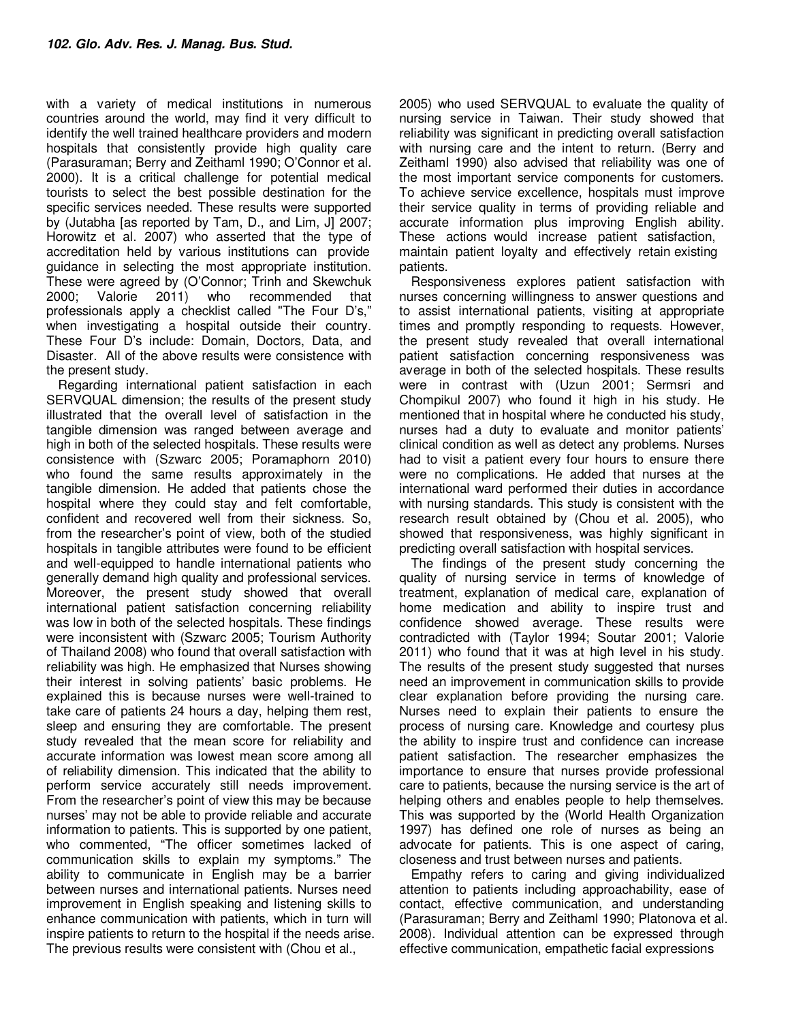with a variety of medical institutions in numerous countries around the world, may find it very difficult to identify the well trained healthcare providers and modern hospitals that consistently provide high quality care (Parasuraman; Berry and Zeithaml 1990; O'Connor et al. 2000). It is a critical challenge for potential medical tourists to select the best possible destination for the specific services needed. These results were supported by (Jutabha [as reported by Tam, D., and Lim, J] 2007; Horowitz et al. 2007) who asserted that the type of accreditation held by various institutions can provide guidance in selecting the most appropriate institution. These were agreed by (O'Connor; Trinh and Skewchuk 2000; Valorie 2011) who recommended that professionals apply a checklist called "The Four D's," when investigating a hospital outside their country. These Four D's include: Domain, Doctors, Data, and Disaster. All of the above results were consistence with the present study.

Regarding international patient satisfaction in each SERVQUAL dimension; the results of the present study illustrated that the overall level of satisfaction in the tangible dimension was ranged between average and high in both of the selected hospitals. These results were consistence with (Szwarc 2005; Poramaphorn 2010) who found the same results approximately in the tangible dimension. He added that patients chose the hospital where they could stay and felt comfortable, confident and recovered well from their sickness. So, from the researcher's point of view, both of the studied hospitals in tangible attributes were found to be efficient and well-equipped to handle international patients who generally demand high quality and professional services. Moreover, the present study showed that overall international patient satisfaction concerning reliability was low in both of the selected hospitals. These findings were inconsistent with (Szwarc 2005; Tourism Authority of Thailand 2008) who found that overall satisfaction with reliability was high. He emphasized that Nurses showing their interest in solving patients' basic problems. He explained this is because nurses were well-trained to take care of patients 24 hours a day, helping them rest, sleep and ensuring they are comfortable. The present study revealed that the mean score for reliability and accurate information was lowest mean score among all of reliability dimension. This indicated that the ability to perform service accurately still needs improvement. From the researcher's point of view this may be because nurses' may not be able to provide reliable and accurate information to patients. This is supported by one patient, who commented, "The officer sometimes lacked of communication skills to explain my symptoms." The ability to communicate in English may be a barrier between nurses and international patients. Nurses need improvement in English speaking and listening skills to enhance communication with patients, which in turn will inspire patients to return to the hospital if the needs arise. The previous results were consistent with (Chou et al.,

2005) who used SERVQUAL to evaluate the quality of nursing service in Taiwan. Their study showed that reliability was significant in predicting overall satisfaction with nursing care and the intent to return. (Berry and Zeithaml 1990) also advised that reliability was one of the most important service components for customers. To achieve service excellence, hospitals must improve their service quality in terms of providing reliable and accurate information plus improving English ability. These actions would increase patient satisfaction, maintain patient loyalty and effectively retain existing patients.

Responsiveness explores patient satisfaction with nurses concerning willingness to answer questions and to assist international patients, visiting at appropriate times and promptly responding to requests. However, the present study revealed that overall international patient satisfaction concerning responsiveness was average in both of the selected hospitals. These results were in contrast with (Uzun 2001; Sermsri and Chompikul 2007) who found it high in his study. He mentioned that in hospital where he conducted his study, nurses had a duty to evaluate and monitor patients' clinical condition as well as detect any problems. Nurses had to visit a patient every four hours to ensure there were no complications. He added that nurses at the international ward performed their duties in accordance with nursing standards. This study is consistent with the research result obtained by (Chou et al. 2005), who showed that responsiveness, was highly significant in predicting overall satisfaction with hospital services.

The findings of the present study concerning the quality of nursing service in terms of knowledge of treatment, explanation of medical care, explanation of home medication and ability to inspire trust and confidence showed average. These results were contradicted with (Taylor 1994; Soutar 2001; Valorie 2011) who found that it was at high level in his study. The results of the present study suggested that nurses need an improvement in communication skills to provide clear explanation before providing the nursing care. Nurses need to explain their patients to ensure the process of nursing care. Knowledge and courtesy plus the ability to inspire trust and confidence can increase patient satisfaction. The researcher emphasizes the importance to ensure that nurses provide professional care to patients, because the nursing service is the art of helping others and enables people to help themselves. This was supported by the (World Health Organization 1997) has defined one role of nurses as being an advocate for patients. This is one aspect of caring, closeness and trust between nurses and patients.

Empathy refers to caring and giving individualized attention to patients including approachability, ease of contact, effective communication, and understanding (Parasuraman; Berry and Zeithaml 1990; Platonova et al. 2008). Individual attention can be expressed through effective communication, empathetic facial expressions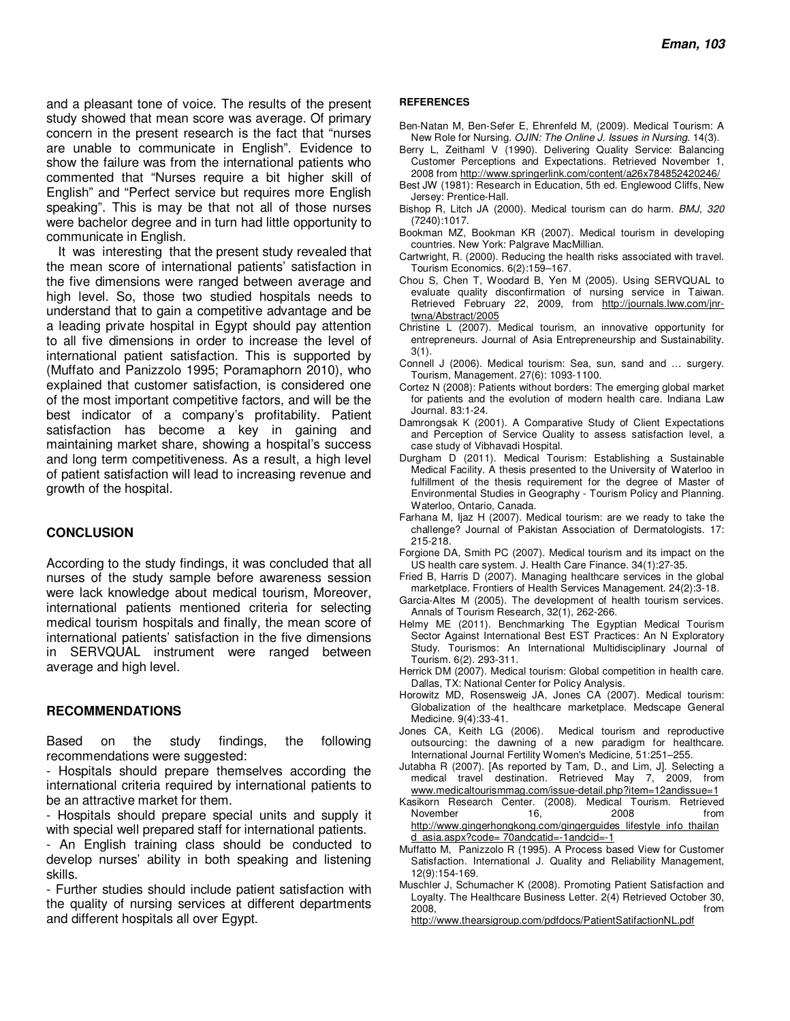and a pleasant tone of voice. The results of the present study showed that mean score was average. Of primary concern in the present research is the fact that "nurses are unable to communicate in English". Evidence to show the failure was from the international patients who commented that "Nurses require a bit higher skill of English" and "Perfect service but requires more English speaking". This is may be that not all of those nurses were bachelor degree and in turn had little opportunity to communicate in English.

It was interesting that the present study revealed that the mean score of international patients' satisfaction in the five dimensions were ranged between average and high level. So, those two studied hospitals needs to understand that to gain a competitive advantage and be a leading private hospital in Egypt should pay attention to all five dimensions in order to increase the level of international patient satisfaction. This is supported by (Muffato and Panizzolo 1995; Poramaphorn 2010), who explained that customer satisfaction, is considered one of the most important competitive factors, and will be the best indicator of a company's profitability. Patient satisfaction has become a key in gaining and maintaining market share, showing a hospital's success and long term competitiveness. As a result, a high level of patient satisfaction will lead to increasing revenue and growth of the hospital.

#### **CONCLUSION**

According to the study findings, it was concluded that all nurses of the study sample before awareness session were lack knowledge about medical tourism, Moreover, international patients mentioned criteria for selecting medical tourism hospitals and finally, the mean score of international patients' satisfaction in the five dimensions in SERVQUAL instrument were ranged between average and high level.

#### **RECOMMENDATIONS**

Based on the study findings, the following recommendations were suggested:

- Hospitals should prepare themselves according the international criteria required by international patients to be an attractive market for them.

- Hospitals should prepare special units and supply it with special well prepared staff for international patients.
- An English training class should be conducted to develop nurses' ability in both speaking and listening skills.

- Further studies should include patient satisfaction with the quality of nursing services at different departments and different hospitals all over Egypt.

#### **REFERENCES**

- Ben-Natan M, Ben-Sefer E, Ehrenfeld M, (2009). Medical Tourism: A New Role for Nursing. *OJIN: The Online J. Issues in Nursing*. 14(3).
- Berry L, Zeithaml V (1990). Delivering Quality Service: Balancing Customer Perceptions and Expectations. Retrieved November 1, 2008 from http://www.springerlink.com/content/a26x784852420246/
- Best JW (1981): Research in Education, 5th ed. Englewood Cliffs, New Jersey: Prentice-Hall.
- Bishop R, Litch JA (2000). Medical tourism can do harm. *BMJ*, *320*  (7240):1017.
- Bookman MZ, Bookman KR (2007). Medical tourism in developing countries. New York: Palgrave MacMillian.
- Cartwright, R. (2000). Reducing the health risks associated with travel. Tourism Economics. 6(2):159–167.
- Chou S, Chen T, Woodard B, Yen M (2005). Using SERVQUAL to evaluate quality disconfirmation of nursing service in Taiwan. Retrieved February 22, 2009, from http://journals.lww.com/jnrtwna/Abstract/2005
- Christine L (2007). Medical tourism, an innovative opportunity for entrepreneurs. Journal of Asia Entrepreneurship and Sustainability. 3(1).
- Connell J (2006). Medical tourism: Sea, sun, sand and … surgery. Tourism, Management. 27(6): 1093-1100.
- Cortez N (2008): Patients without borders: The emerging global market for patients and the evolution of modern health care. Indiana Law Journal. 83:1-24.
- Damrongsak K (2001). A Comparative Study of Client Expectations and Perception of Service Quality to assess satisfaction level, a case study of Vibhavadi Hospital.
- Durgham D (2011). Medical Tourism: Establishing a Sustainable Medical Facility. A thesis presented to the University of Waterloo in fulfillment of the thesis requirement for the degree of Master of Environmental Studies in Geography - Tourism Policy and Planning. Waterloo, Ontario, Canada.
- Farhana M, Ijaz H (2007). Medical tourism: are we ready to take the challenge? Journal of Pakistan Association of Dermatologists. 17: 215-218.
- Forgione DA, Smith PC (2007). Medical tourism and its impact on the US health care system. J. Health Care Finance. 34(1):27-35.
- Fried B, Harris D (2007). Managing healthcare services in the global marketplace. Frontiers of Health Services Management. 24(2):3-18.
- Garcia-Altes M (2005). The development of health tourism services. Annals of Tourism Research, 32(1), 262-266.
- Helmy ME (2011). Benchmarking The Egyptian Medical Tourism Sector Against International Best EST Practices: An N Exploratory Study. Tourismos: An International Multidisciplinary Journal of Tourism. 6(2). 293-311.
- Herrick DM (2007). Medical tourism: Global competition in health care. Dallas, TX: National Center for Policy Analysis.
- Horowitz MD, Rosensweig JA, Jones CA (2007). Medical tourism: Globalization of the healthcare marketplace. Medscape General Medicine. 9(4):33-41.
- Jones CA, Keith LG (2006). Medical tourism and reproductive outsourcing: the dawning of a new paradigm for healthcare. International Journal Fertility Women's Medicine, 51:251–255.
- Jutabha R (2007). [As reported by Tam, D., and Lim, J]. Selecting a medical travel destination. Retrieved May 7, 2009, from www.medicaltourismmag.com/issue-detail.php?item=12andissue=1
- Kasikorn Research Center. (2008). Medical Tourism. Retrieved November http://www.gingerhongkong.com/gingerguides\_lifestyle\_info\_thailan d\_asia.aspx?code= 70andcatid=-1andcid=-1
- Muffatto M, Panizzolo R (1995). A Process based View for Customer Satisfaction. International J. Quality and Reliability Management, 12(9):154-169.
- Muschler J, Schumacher K (2008). Promoting Patient Satisfaction and Loyalty. The Healthcare Business Letter. 2(4) Retrieved October 30, 2008, from http://www.thearsigroup.com/pdfdocs/PatientSatifactionNL.pdf